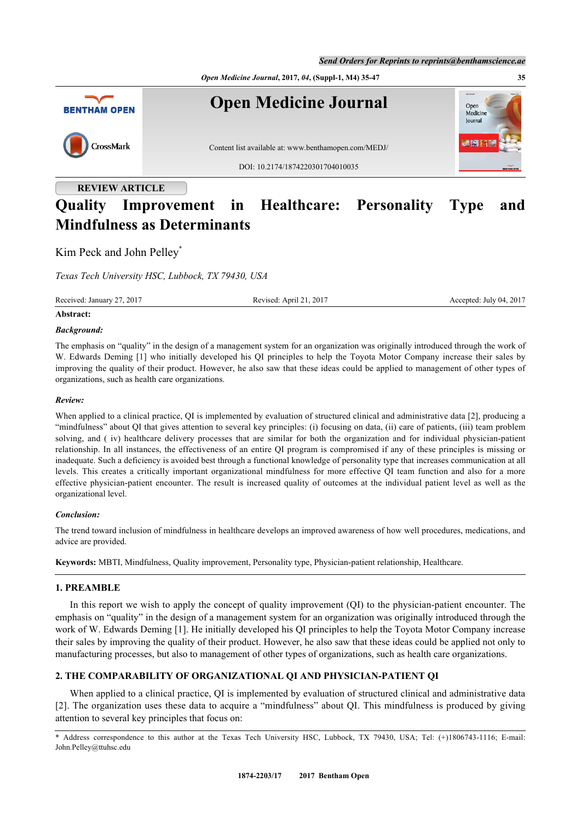



# **Quality Improvement in Healthcare: Personality Type and Mindfulness as Determinants**

Kim Peck and John Pelley<sup>[\\*](#page-0-0)</sup>

*Texas Tech University HSC, Lubbock, TX 79430, USA*

Received: January 27, 2017 Revised: April 21, 2017 Accepted: July 04, 2017

## **Abstract:**

#### *Background:*

The emphasis on "quality" in the design of a management system for an organization was originally introduced through the work of W. Edwards Deming [1] who initially developed his QI principles to help the Toyota Motor Company increase their sales by improving the quality of their product. However, he also saw that these ideas could be applied to management of other types of organizations, such as health care organizations.

#### *Review:*

When applied to a clinical practice, QI is implemented by evaluation of structured clinical and administrative data [2], producing a "mindfulness" about QI that gives attention to several key principles: (i) focusing on data, (ii) care of patients, (iii) team problem solving, and ( iv) healthcare delivery processes that are similar for both the organization and for individual physician-patient relationship. In all instances, the effectiveness of an entire QI program is compromised if any of these principles is missing or inadequate. Such a deficiency is avoided best through a functional knowledge of personality type that increases communication at all levels. This creates a critically important organizational mindfulness for more effective QI team function and also for a more effective physician-patient encounter. The result is increased quality of outcomes at the individual patient level as well as the organizational level.

#### *Conclusion:*

The trend toward inclusion of mindfulness in healthcare develops an improved awareness of how well procedures, medications, and advice are provided.

**Keywords:** MBTI, Mindfulness, Quality improvement, Personality type, Physician-patient relationship, Healthcare.

#### **1. PREAMBLE**

In this report we wish to apply the concept of quality improvement (QI) to the physician-patient encounter. The emphasis on "quality" in the design of a management system for an organization was originally introduced through the work of W. Edwards Deming [\[1](#page-11-0)]. He initially developed his QI principles to help the Toyota Motor Company increase their sales by improving the quality of their product. However, he also saw that these ideas could be applied not only to manufacturing processes, but also to management of other types of organizations, such as health care organizations.

## **2. THE COMPARABILITY OF ORGANIZATIONAL QI AND PHYSICIAN-PATIENT QI**

When applied to a clinical practice, QI is implemented by evaluation of structured clinical and administrative data [\[2](#page-11-1)]. The organization uses these data to acquire a "mindfulness" about QI. This mindfulness is produced by giving attention to several key principles that focus on:

<span id="page-0-0"></span>\* Address correspondence to this author at the Texas Tech University HSC, Lubbock, TX 79430, USA; Tel: (+)1806743-1116; E-mail: [John.Pelley@ttuhsc.edu](mailto:John.Pelley@ttuhsc.edu)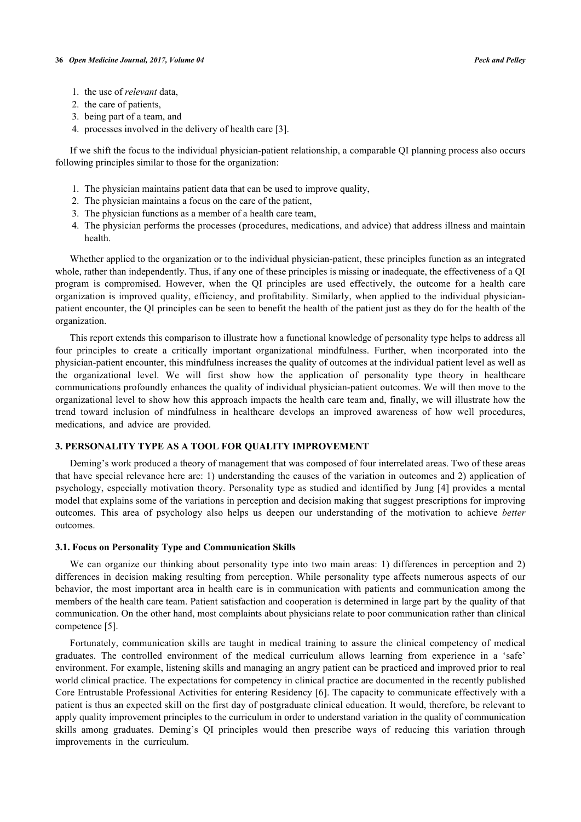- 1. the use of *relevant* data,
- 2. the care of patients,
- 3. being part of a team, and
- 4. processes involved in the delivery of health care [[3\]](#page-11-2).

If we shift the focus to the individual physician-patient relationship, a comparable QI planning process also occurs following principles similar to those for the organization:

- 1. The physician maintains patient data that can be used to improve quality,
- 2. The physician maintains a focus on the care of the patient,
- 3. The physician functions as a member of a health care team,
- 4. The physician performs the processes (procedures, medications, and advice) that address illness and maintain health.

Whether applied to the organization or to the individual physician-patient, these principles function as an integrated whole, rather than independently. Thus, if any one of these principles is missing or inadequate, the effectiveness of a QI program is compromised. However, when the QI principles are used effectively, the outcome for a health care organization is improved quality, efficiency, and profitability. Similarly, when applied to the individual physicianpatient encounter, the QI principles can be seen to benefit the health of the patient just as they do for the health of the organization.

This report extends this comparison to illustrate how a functional knowledge of personality type helps to address all four principles to create a critically important organizational mindfulness. Further, when incorporated into the physician-patient encounter, this mindfulness increases the quality of outcomes at the individual patient level as well as the organizational level. We will first show how the application of personality type theory in healthcare communications profoundly enhances the quality of individual physician-patient outcomes. We will then move to the organizational level to show how this approach impacts the health care team and, finally, we will illustrate how the trend toward inclusion of mindfulness in healthcare develops an improved awareness of how well procedures, medications, and advice are provided.

#### **3. PERSONALITY TYPE AS A TOOL FOR QUALITY IMPROVEMENT**

Deming's work produced a theory of management that was composed of four interrelated areas. Two of these areas that have special relevance here are: 1) understanding the causes of the variation in outcomes and 2) application of psychology, especially motivation theory. Personality type as studied and identified by Jung [[4](#page-12-0)] provides a mental model that explains some of the variations in perception and decision making that suggest prescriptions for improving outcomes. This area of psychology also helps us deepen our understanding of the motivation to achieve *better* outcomes.

#### **3.1. Focus on Personality Type and Communication Skills**

We can organize our thinking about personality type into two main areas: 1) differences in perception and 2) differences in decision making resulting from perception. While personality type affects numerous aspects of our behavior, the most important area in health care is in communication with patients and communication among the members of the health care team. Patient satisfaction and cooperation is determined in large part by the quality of that communication. On the other hand, most complaints about physicians relate to poor communication rather than clinical competence [\[5](#page-12-1)].

Fortunately, communication skills are taught in medical training to assure the clinical competency of medical graduates. The controlled environment of the medical curriculum allows learning from experience in a 'safe' environment. For example, listening skills and managing an angry patient can be practiced and improved prior to real world clinical practice. The expectations for competency in clinical practice are documented in the recently published Core Entrustable Professional Activities for entering Residency [[6\]](#page-12-2). The capacity to communicate effectively with a patient is thus an expected skill on the first day of postgraduate clinical education. It would, therefore, be relevant to apply quality improvement principles to the curriculum in order to understand variation in the quality of communication skills among graduates. Deming's QI principles would then prescribe ways of reducing this variation through improvements in the curriculum.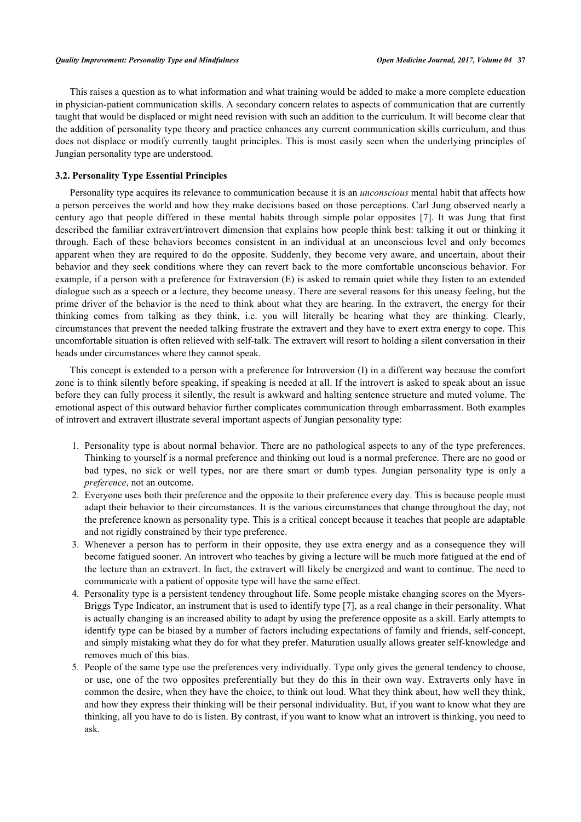This raises a question as to what information and what training would be added to make a more complete education in physician-patient communication skills. A secondary concern relates to aspects of communication that are currently taught that would be displaced or might need revision with such an addition to the curriculum. It will become clear that the addition of personality type theory and practice enhances any current communication skills curriculum, and thus does not displace or modify currently taught principles. This is most easily seen when the underlying principles of Jungian personality type are understood.

# **3.2. Personality Type Essential Principles**

Personality type acquires its relevance to communication because it is an *unconscious* mental habit that affects how a person perceives the world and how they make decisions based on those perceptions. Carl Jung observed nearly a century ago that people differed in these mental habits through simple polar opposites[[7\]](#page-12-3). It was Jung that first described the familiar extravert/introvert dimension that explains how people think best: talking it out or thinking it through. Each of these behaviors becomes consistent in an individual at an unconscious level and only becomes apparent when they are required to do the opposite. Suddenly, they become very aware, and uncertain, about their behavior and they seek conditions where they can revert back to the more comfortable unconscious behavior. For example, if a person with a preference for Extraversion (E) is asked to remain quiet while they listen to an extended dialogue such as a speech or a lecture, they become uneasy. There are several reasons for this uneasy feeling, but the prime driver of the behavior is the need to think about what they are hearing. In the extravert, the energy for their thinking comes from talking as they think, i.e. you will literally be hearing what they are thinking. Clearly, circumstances that prevent the needed talking frustrate the extravert and they have to exert extra energy to cope. This uncomfortable situation is often relieved with self-talk. The extravert will resort to holding a silent conversation in their heads under circumstances where they cannot speak.

This concept is extended to a person with a preference for Introversion (I) in a different way because the comfort zone is to think silently before speaking, if speaking is needed at all. If the introvert is asked to speak about an issue before they can fully process it silently, the result is awkward and halting sentence structure and muted volume. The emotional aspect of this outward behavior further complicates communication through embarrassment. Both examples of introvert and extravert illustrate several important aspects of Jungian personality type:

- 1. Personality type is about normal behavior. There are no pathological aspects to any of the type preferences. Thinking to yourself is a normal preference and thinking out loud is a normal preference. There are no good or bad types, no sick or well types, nor are there smart or dumb types. Jungian personality type is only a *preference*, not an outcome.
- 2. Everyone uses both their preference and the opposite to their preference every day. This is because people must adapt their behavior to their circumstances. It is the various circumstances that change throughout the day, not the preference known as personality type. This is a critical concept because it teaches that people are adaptable and not rigidly constrained by their type preference.
- 3. Whenever a person has to perform in their opposite, they use extra energy and as a consequence they will become fatigued sooner. An introvert who teaches by giving a lecture will be much more fatigued at the end of the lecture than an extravert. In fact, the extravert will likely be energized and want to continue. The need to communicate with a patient of opposite type will have the same effect.
- 4. Personality type is a persistent tendency throughout life. Some people mistake changing scores on the Myers-Briggs Type Indicator, an instrument that is used to identify type [[7\]](#page-12-3), as a real change in their personality. What is actually changing is an increased ability to adapt by using the preference opposite as a skill. Early attempts to identify type can be biased by a number of factors including expectations of family and friends, self-concept, and simply mistaking what they do for what they prefer. Maturation usually allows greater self-knowledge and removes much of this bias.
- 5. People of the same type use the preferences very individually. Type only gives the general tendency to choose, or use, one of the two opposites preferentially but they do this in their own way. Extraverts only have in common the desire, when they have the choice, to think out loud. What they think about, how well they think, and how they express their thinking will be their personal individuality. But, if you want to know what they are thinking, all you have to do is listen. By contrast, if you want to know what an introvert is thinking, you need to ask.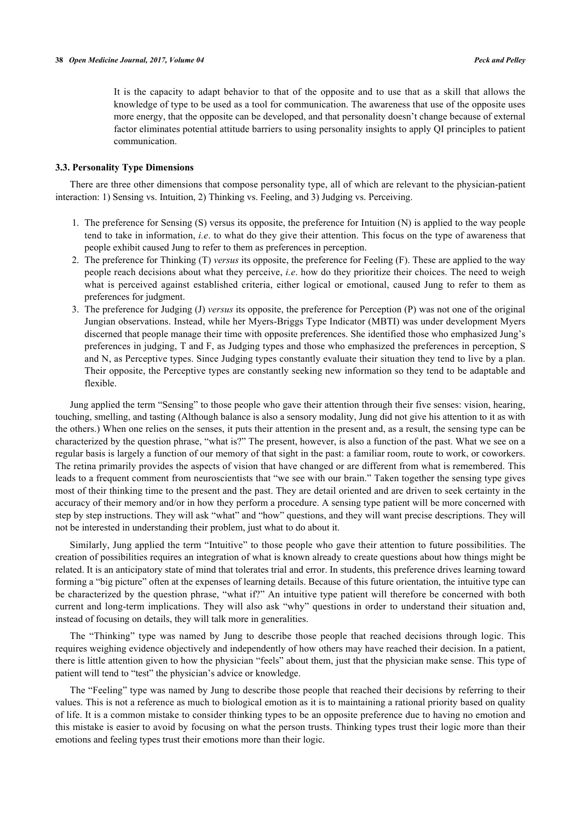It is the capacity to adapt behavior to that of the opposite and to use that as a skill that allows the knowledge of type to be used as a tool for communication. The awareness that use of the opposite uses more energy, that the opposite can be developed, and that personality doesn't change because of external factor eliminates potential attitude barriers to using personality insights to apply QI principles to patient communication.

## **3.3. Personality Type Dimensions**

There are three other dimensions that compose personality type, all of which are relevant to the physician-patient interaction: 1) Sensing vs. Intuition, 2) Thinking vs. Feeling, and 3) Judging vs. Perceiving.

- 1. The preference for Sensing (S) versus its opposite, the preference for Intuition (N) is applied to the way people tend to take in information, *i.e*. to what do they give their attention. This focus on the type of awareness that people exhibit caused Jung to refer to them as preferences in perception.
- 2. The preference for Thinking (T) *versus* its opposite, the preference for Feeling (F). These are applied to the way people reach decisions about what they perceive, *i.e*. how do they prioritize their choices. The need to weigh what is perceived against established criteria, either logical or emotional, caused Jung to refer to them as preferences for judgment.
- 3. The preference for Judging (J) *versus* its opposite, the preference for Perception (P) was not one of the original Jungian observations. Instead, while her Myers-Briggs Type Indicator (MBTI) was under development Myers discerned that people manage their time with opposite preferences. She identified those who emphasized Jung's preferences in judging, T and F, as Judging types and those who emphasized the preferences in perception, S and N, as Perceptive types. Since Judging types constantly evaluate their situation they tend to live by a plan. Their opposite, the Perceptive types are constantly seeking new information so they tend to be adaptable and flexible.

Jung applied the term "Sensing" to those people who gave their attention through their five senses: vision, hearing, touching, smelling, and tasting (Although balance is also a sensory modality, Jung did not give his attention to it as with the others.) When one relies on the senses, it puts their attention in the present and, as a result, the sensing type can be characterized by the question phrase, "what is?" The present, however, is also a function of the past. What we see on a regular basis is largely a function of our memory of that sight in the past: a familiar room, route to work, or coworkers. The retina primarily provides the aspects of vision that have changed or are different from what is remembered. This leads to a frequent comment from neuroscientists that "we see with our brain." Taken together the sensing type gives most of their thinking time to the present and the past. They are detail oriented and are driven to seek certainty in the accuracy of their memory and/or in how they perform a procedure. A sensing type patient will be more concerned with step by step instructions. They will ask "what" and "how" questions, and they will want precise descriptions. They will not be interested in understanding their problem, just what to do about it.

Similarly, Jung applied the term "Intuitive" to those people who gave their attention to future possibilities. The creation of possibilities requires an integration of what is known already to create questions about how things might be related. It is an anticipatory state of mind that tolerates trial and error. In students, this preference drives learning toward forming a "big picture" often at the expenses of learning details. Because of this future orientation, the intuitive type can be characterized by the question phrase, "what if?" An intuitive type patient will therefore be concerned with both current and long-term implications. They will also ask "why" questions in order to understand their situation and, instead of focusing on details, they will talk more in generalities.

The "Thinking" type was named by Jung to describe those people that reached decisions through logic. This requires weighing evidence objectively and independently of how others may have reached their decision. In a patient, there is little attention given to how the physician "feels" about them, just that the physician make sense. This type of patient will tend to "test" the physician's advice or knowledge.

The "Feeling" type was named by Jung to describe those people that reached their decisions by referring to their values. This is not a reference as much to biological emotion as it is to maintaining a rational priority based on quality of life. It is a common mistake to consider thinking types to be an opposite preference due to having no emotion and this mistake is easier to avoid by focusing on what the person trusts. Thinking types trust their logic more than their emotions and feeling types trust their emotions more than their logic.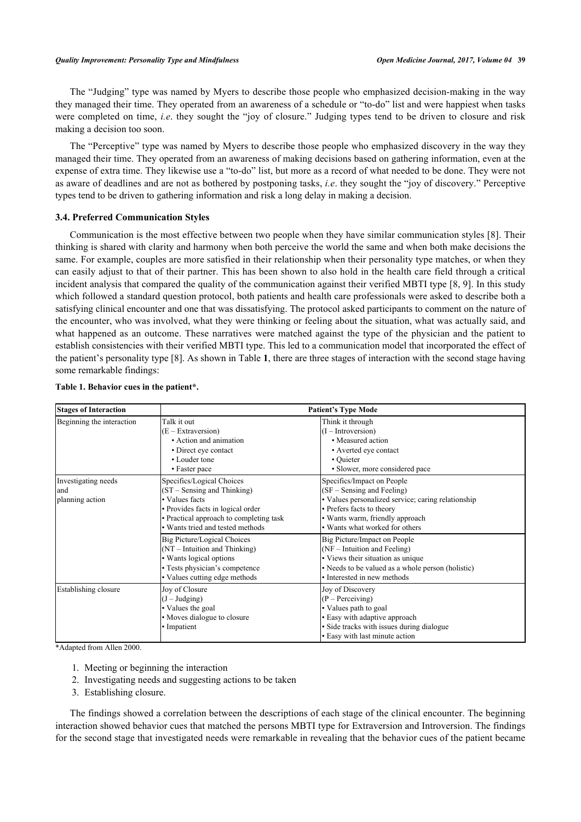The "Judging" type was named by Myers to describe those people who emphasized decision-making in the way they managed their time. They operated from an awareness of a schedule or "to-do" list and were happiest when tasks were completed on time, *i.e*. they sought the "joy of closure." Judging types tend to be driven to closure and risk making a decision too soon.

The "Perceptive" type was named by Myers to describe those people who emphasized discovery in the way they managed their time. They operated from an awareness of making decisions based on gathering information, even at the expense of extra time. They likewise use a "to-do" list, but more as a record of what needed to be done. They were not as aware of deadlines and are not as bothered by postponing tasks, *i.e*. they sought the "joy of discovery." Perceptive types tend to be driven to gathering information and risk a long delay in making a decision.

#### **3.4. Preferred Communication Styles**

Communication is the most effective between two people when they have similar communication styles [[8\]](#page-12-4). Their thinking is shared with clarity and harmony when both perceive the world the same and when both make decisions the same. For example, couples are more satisfied in their relationship when their personality type matches, or when they can easily adjust to that of their partner. This has been shown to also hold in the health care field through a critical incident analysis that compared the quality of the communication against their verified MBTI type [[8](#page-12-4), [9\]](#page-12-5). In this study which followed a standard question protocol, both patients and health care professionals were asked to describe both a satisfying clinical encounter and one that was dissatisfying. The protocol asked participants to comment on the nature of the encounter, who was involved, what they were thinking or feeling about the situation, what was actually said, and what happened as an outcome. These narratives were matched against the type of the physician and the patient to establish consistencies with their verified MBTI type. This led to a communication model that incorporated the effect of the patient's personality type [[8\]](#page-12-4). As shown in Table **[1](#page-4-0)**, there are three stages of interaction with the second stage having some remarkable findings:

| <b>Stages of Interaction</b>                   | <b>Patient's Type Mode</b>                                                                                                                                                                       |                                                                                                                                                                                                                  |  |  |  |  |
|------------------------------------------------|--------------------------------------------------------------------------------------------------------------------------------------------------------------------------------------------------|------------------------------------------------------------------------------------------------------------------------------------------------------------------------------------------------------------------|--|--|--|--|
| Beginning the interaction                      | Talk it out<br>(E – Extraversion)<br>• Action and animation                                                                                                                                      | Think it through<br>$(I - Introversion)$<br>• Measured action                                                                                                                                                    |  |  |  |  |
|                                                | • Direct eye contact<br>• Louder tone<br>• Faster pace                                                                                                                                           | • Averted eye contact<br>• Quieter<br>• Slower, more considered pace                                                                                                                                             |  |  |  |  |
| Investigating needs<br>land<br>planning action | Specifics/Logical Choices<br>$(ST - Sensing and Thinking)$<br>• Values facts<br>• Provides facts in logical order<br>• Practical approach to completing task<br>• Wants tried and tested methods | Specifics/Impact on People<br>(SF – Sensing and Feeling)<br>• Values personalized service; caring relationship<br>· Prefers facts to theory<br>· Wants warm, friendly approach<br>• Wants what worked for others |  |  |  |  |
|                                                | <b>Big Picture/Logical Choices</b><br>$(NT - Intuition and Thinking)$<br>• Wants logical options<br>· Tests physician's competence<br>• Values cutting edge methods                              | Big Picture/Impact on People<br>(NF – Intuition and Feeling)<br>• Views their situation as unique<br>• Needs to be valued as a whole person (holistic)<br>• Interested in new methods                            |  |  |  |  |
| Establishing closure                           | Joy of Closure<br>$(J - J^{\text{udging}})$<br>• Values the goal<br>• Moves dialogue to closure<br>• Impatient                                                                                   | Joy of Discovery<br>(P – Perceiving)<br>• Values path to goal<br>• Easy with adaptive approach<br>• Side tracks with issues during dialogue<br>• Easy with last minute action                                    |  |  |  |  |

#### <span id="page-4-0"></span>**Table 1. Behavior cues in the patient\*.**

\*Adapted from Allen 2000.

- 1. Meeting or beginning the interaction
- 2. Investigating needs and suggesting actions to be taken
- 3. Establishing closure.

The findings showed a correlation between the descriptions of each stage of the clinical encounter. The beginning interaction showed behavior cues that matched the persons MBTI type for Extraversion and Introversion. The findings for the second stage that investigated needs were remarkable in revealing that the behavior cues of the patient became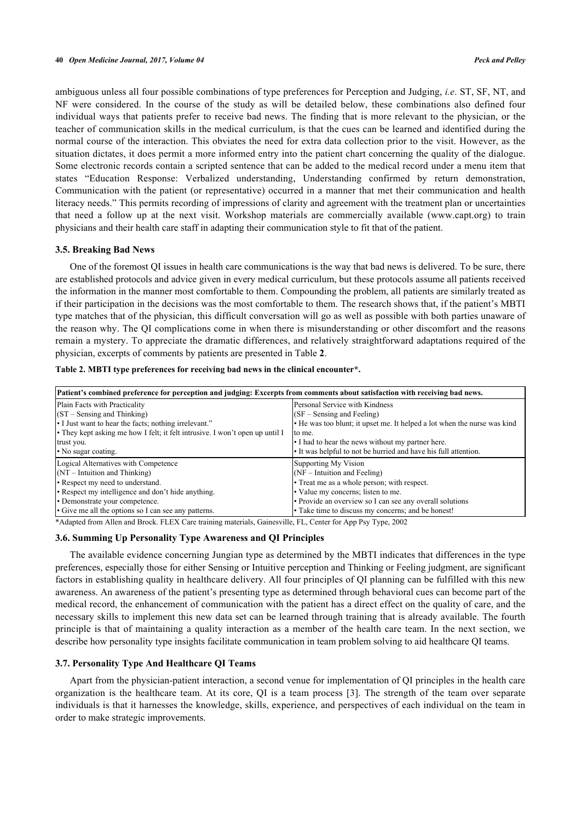ambiguous unless all four possible combinations of type preferences for Perception and Judging, *i.e*. ST, SF, NT, and NF were considered. In the course of the study as will be detailed below, these combinations also defined four individual ways that patients prefer to receive bad news. The finding that is more relevant to the physician, or the teacher of communication skills in the medical curriculum, is that the cues can be learned and identified during the normal course of the interaction. This obviates the need for extra data collection prior to the visit. However, as the situation dictates, it does permit a more informed entry into the patient chart concerning the quality of the dialogue. Some electronic records contain a scripted sentence that can be added to the medical record under a menu item that states "Education Response: Verbalized understanding, Understanding confirmed by return demonstration, Communication with the patient (or representative) occurred in a manner that met their communication and health literacy needs." This permits recording of impressions of clarity and agreement with the treatment plan or uncertainties that need a follow up at the next visit. Workshop materials are commercially available([www.capt.org\)](http://www.capt.org) to train physicians and their health care staff in adapting their communication style to fit that of the patient.

#### **3.5. Breaking Bad News**

One of the foremost QI issues in health care communications is the way that bad news is delivered. To be sure, there are established protocols and advice given in every medical curriculum, but these protocols assume all patients received the information in the manner most comfortable to them. Compounding the problem, all patients are similarly treated as if their participation in the decisions was the most comfortable to them. The research shows that, if the patient's MBTI type matches that of the physician, this difficult conversation will go as well as possible with both parties unaware of the reason why. The QI complications come in when there is misunderstanding or other discomfort and the reasons remain a mystery. To appreciate the dramatic differences, and relatively straightforward adaptations required of the physician, excerpts of comments by patients are presented in Table **[2](#page-5-0)**.

<span id="page-5-0"></span>

|  | Table 2. MBTI type preferences for receiving bad news in the clinical encounter*. |  |  |  |  |
|--|-----------------------------------------------------------------------------------|--|--|--|--|
|  |                                                                                   |  |  |  |  |

| Patient's combined preference for perception and judging: Excerpts from comments about satisfaction with receiving bad news. |                                                                          |  |  |  |  |  |
|------------------------------------------------------------------------------------------------------------------------------|--------------------------------------------------------------------------|--|--|--|--|--|
| Plain Facts with Practicality                                                                                                | Personal Service with Kindness                                           |  |  |  |  |  |
| $(ST - Sensing and Thinking)$                                                                                                | $(SF - Sensing and Feeling)$                                             |  |  |  |  |  |
| • I Just want to hear the facts; nothing irrelevant."                                                                        | • He was too blunt; it upset me. It helped a lot when the nurse was kind |  |  |  |  |  |
| • They kept asking me how I felt; it felt intrusive. I won't open up until I                                                 | to me.                                                                   |  |  |  |  |  |
| trust you.                                                                                                                   | • I had to hear the news without my partner here.                        |  |  |  |  |  |
| $\cdot$ No sugar coating.                                                                                                    | If was helpful to not be hurried and have his full attention.            |  |  |  |  |  |
| Logical Alternatives with Competence                                                                                         | Supporting My Vision                                                     |  |  |  |  |  |
| $(NT - Intuition and Thinking)$                                                                                              | $(NF - Intuition and Feeling)$                                           |  |  |  |  |  |
| • Respect my need to understand.                                                                                             | • Treat me as a whole person; with respect.                              |  |  |  |  |  |
| • Respect my intelligence and don't hide anything.                                                                           | • Value my concerns; listen to me.                                       |  |  |  |  |  |
| • Demonstrate your competence.                                                                                               | • Provide an overview so I can see any overall solutions                 |  |  |  |  |  |
| • Give me all the options so I can see any patterns.                                                                         | • Take time to discuss my concerns; and be honest!                       |  |  |  |  |  |

\*Adapted from Allen and Brock. FLEX Care training materials, Gainesville, FL, Center for App Psy Type, 2002

## **3.6. Summing Up Personality Type Awareness and QI Principles**

The available evidence concerning Jungian type as determined by the MBTI indicates that differences in the type preferences, especially those for either Sensing or Intuitive perception and Thinking or Feeling judgment, are significant factors in establishing quality in healthcare delivery. All four principles of QI planning can be fulfilled with this new awareness. An awareness of the patient's presenting type as determined through behavioral cues can become part of the medical record, the enhancement of communication with the patient has a direct effect on the quality of care, and the necessary skills to implement this new data set can be learned through training that is already available. The fourth principle is that of maintaining a quality interaction as a member of the health care team. In the next section, we describe how personality type insights facilitate communication in team problem solving to aid healthcare QI teams.

#### **3.7. Personality Type And Healthcare QI Teams**

Apart from the physician-patient interaction, a second venue for implementation of QI principles in the health care organization is the healthcare team. At its core, QI is a team process[[3\]](#page-11-2). The strength of the team over separate individuals is that it harnesses the knowledge, skills, experience, and perspectives of each individual on the team in order to make strategic improvements.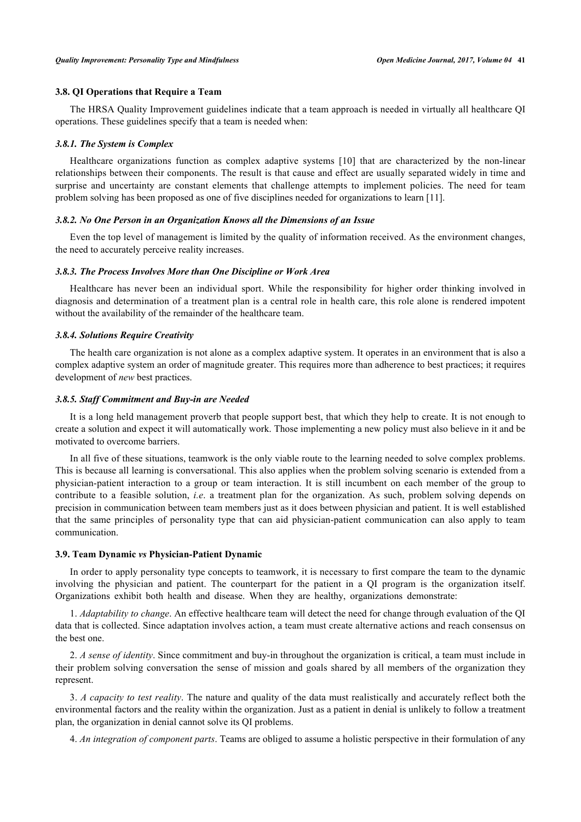#### **3.8. QI Operations that Require a Team**

The HRSA Quality Improvement guidelines indicate that a team approach is needed in virtually all healthcare QI operations. These guidelines specify that a team is needed when:

#### *3.8.1. The System is Complex*

Healthcare organizations function as complex adaptive systems[[10](#page-12-6)] that are characterized by the non-linear relationships between their components. The result is that cause and effect are usually separated widely in time and surprise and uncertainty are constant elements that challenge attempts to implement policies. The need for team problem solving has been proposed as one of five disciplines needed for organizations to learn [\[11](#page-12-7)].

#### *3.8.2. No One Person in an Organization Knows all the Dimensions of an Issue*

Even the top level of management is limited by the quality of information received. As the environment changes, the need to accurately perceive reality increases.

## *3.8.3. The Process Involves More than One Discipline or Work Area*

Healthcare has never been an individual sport. While the responsibility for higher order thinking involved in diagnosis and determination of a treatment plan is a central role in health care, this role alone is rendered impotent without the availability of the remainder of the healthcare team.

#### *3.8.4. Solutions Require Creativity*

The health care organization is not alone as a complex adaptive system. It operates in an environment that is also a complex adaptive system an order of magnitude greater. This requires more than adherence to best practices; it requires development of *new* best practices.

#### *3.8.5. Staff Commitment and Buy-in are Needed*

It is a long held management proverb that people support best, that which they help to create. It is not enough to create a solution and expect it will automatically work. Those implementing a new policy must also believe in it and be motivated to overcome barriers.

In all five of these situations, teamwork is the only viable route to the learning needed to solve complex problems. This is because all learning is conversational. This also applies when the problem solving scenario is extended from a physician-patient interaction to a group or team interaction. It is still incumbent on each member of the group to contribute to a feasible solution, *i.e*. a treatment plan for the organization. As such, problem solving depends on precision in communication between team members just as it does between physician and patient. It is well established that the same principles of personality type that can aid physician-patient communication can also apply to team communication.

#### **3.9. Team Dynamic** *vs* **Physician-Patient Dynamic**

In order to apply personality type concepts to teamwork, it is necessary to first compare the team to the dynamic involving the physician and patient. The counterpart for the patient in a QI program is the organization itself. Organizations exhibit both health and disease. When they are healthy, organizations demonstrate:

1. *Adaptability to change*. An effective healthcare team will detect the need for change through evaluation of the QI data that is collected. Since adaptation involves action, a team must create alternative actions and reach consensus on the best one.

2. *A sense of identity*. Since commitment and buy-in throughout the organization is critical, a team must include in their problem solving conversation the sense of mission and goals shared by all members of the organization they represent.

3. *A capacity to test reality*. The nature and quality of the data must realistically and accurately reflect both the environmental factors and the reality within the organization. Just as a patient in denial is unlikely to follow a treatment plan, the organization in denial cannot solve its QI problems.

4. *An integration of component parts*. Teams are obliged to assume a holistic perspective in their formulation of any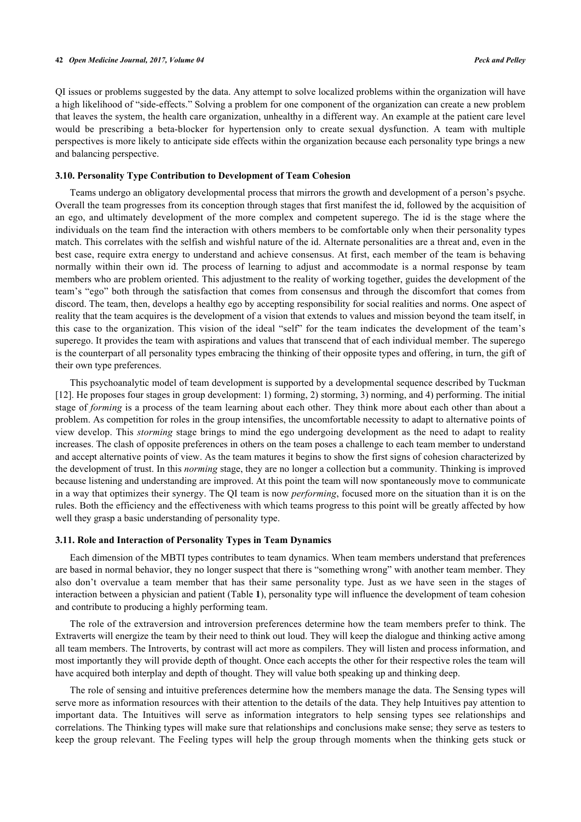QI issues or problems suggested by the data. Any attempt to solve localized problems within the organization will have a high likelihood of "side-effects." Solving a problem for one component of the organization can create a new problem that leaves the system, the health care organization, unhealthy in a different way. An example at the patient care level would be prescribing a beta-blocker for hypertension only to create sexual dysfunction. A team with multiple perspectives is more likely to anticipate side effects within the organization because each personality type brings a new and balancing perspective.

## **3.10. Personality Type Contribution to Development of Team Cohesion**

Teams undergo an obligatory developmental process that mirrors the growth and development of a person's psyche. Overall the team progresses from its conception through stages that first manifest the id, followed by the acquisition of an ego, and ultimately development of the more complex and competent superego. The id is the stage where the individuals on the team find the interaction with others members to be comfortable only when their personality types match. This correlates with the selfish and wishful nature of the id. Alternate personalities are a threat and, even in the best case, require extra energy to understand and achieve consensus. At first, each member of the team is behaving normally within their own id. The process of learning to adjust and accommodate is a normal response by team members who are problem oriented. This adjustment to the reality of working together, guides the development of the team's "ego" both through the satisfaction that comes from consensus and through the discomfort that comes from discord. The team, then, develops a healthy ego by accepting responsibility for social realities and norms. One aspect of reality that the team acquires is the development of a vision that extends to values and mission beyond the team itself, in this case to the organization. This vision of the ideal "self" for the team indicates the development of the team's superego. It provides the team with aspirations and values that transcend that of each individual member. The superego is the counterpart of all personality types embracing the thinking of their opposite types and offering, in turn, the gift of their own type preferences.

This psychoanalytic model of team development is supported by a developmental sequence described by Tuckman [\[12](#page-12-8)]. He proposes four stages in group development: 1) forming, 2) storming, 3) norming, and 4) performing. The initial stage of *forming* is a process of the team learning about each other. They think more about each other than about a problem. As competition for roles in the group intensifies, the uncomfortable necessity to adapt to alternative points of view develop. This *storming* stage brings to mind the ego undergoing development as the need to adapt to reality increases. The clash of opposite preferences in others on the team poses a challenge to each team member to understand and accept alternative points of view. As the team matures it begins to show the first signs of cohesion characterized by the development of trust. In this *norming* stage, they are no longer a collection but a community. Thinking is improved because listening and understanding are improved. At this point the team will now spontaneously move to communicate in a way that optimizes their synergy. The QI team is now *performing*, focused more on the situation than it is on the rules. Both the efficiency and the effectiveness with which teams progress to this point will be greatly affected by how well they grasp a basic understanding of personality type.

#### **3.11. Role and Interaction of Personality Types in Team Dynamics**

Each dimension of the MBTI types contributes to team dynamics. When team members understand that preferences are based in normal behavior, they no longer suspect that there is "something wrong" with another team member. They also don't overvalue a team member that has their same personality type. Just as we have seen in the stages of interaction between a physician and patient (Table **[1](#page-4-0)**), personality type will influence the development of team cohesion and contribute to producing a highly performing team.

The role of the extraversion and introversion preferences determine how the team members prefer to think. The Extraverts will energize the team by their need to think out loud. They will keep the dialogue and thinking active among all team members. The Introverts, by contrast will act more as compilers. They will listen and process information, and most importantly they will provide depth of thought. Once each accepts the other for their respective roles the team will have acquired both interplay and depth of thought. They will value both speaking up and thinking deep.

The role of sensing and intuitive preferences determine how the members manage the data. The Sensing types will serve more as information resources with their attention to the details of the data. They help Intuitives pay attention to important data. The Intuitives will serve as information integrators to help sensing types see relationships and correlations. The Thinking types will make sure that relationships and conclusions make sense; they serve as testers to keep the group relevant. The Feeling types will help the group through moments when the thinking gets stuck or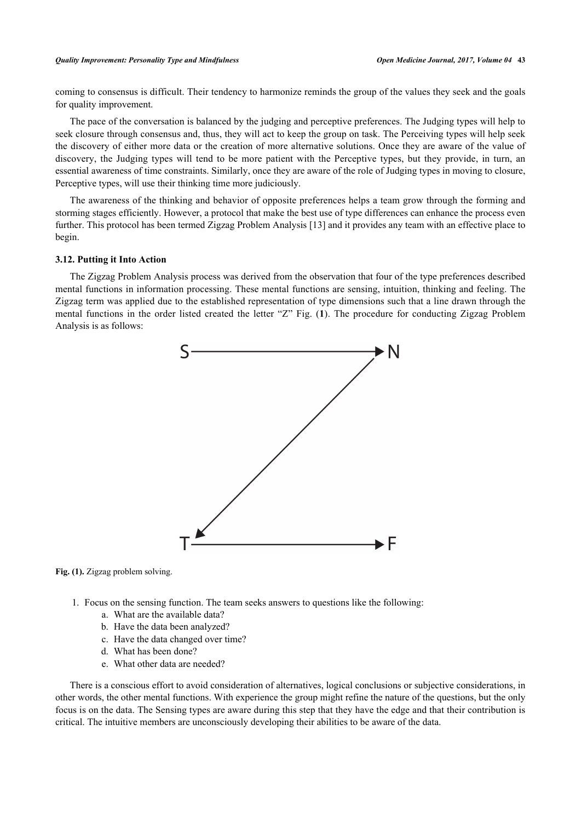#### *Quality Improvement: Personality Type and Mindfulness Open Medicine Journal, 2017, Volume 04* **43**

coming to consensus is difficult. Their tendency to harmonize reminds the group of the values they seek and the goals for quality improvement.

The pace of the conversation is balanced by the judging and perceptive preferences. The Judging types will help to seek closure through consensus and, thus, they will act to keep the group on task. The Perceiving types will help seek the discovery of either more data or the creation of more alternative solutions. Once they are aware of the value of discovery, the Judging types will tend to be more patient with the Perceptive types, but they provide, in turn, an essential awareness of time constraints. Similarly, once they are aware of the role of Judging types in moving to closure, Perceptive types, will use their thinking time more judiciously.

The awareness of the thinking and behavior of opposite preferences helps a team grow through the forming and storming stages efficiently. However, a protocol that make the best use of type differences can enhance the process even further. This protocol has been termed Zigzag Problem Analysis [\[13](#page-12-9)] and it provides any team with an effective place to begin.

#### **3.12. Putting it Into Action**

<span id="page-8-0"></span>The Zigzag Problem Analysis process was derived from the observation that four of the type preferences described mental functions in information processing. These mental functions are sensing, intuition, thinking and feeling. The Zigzag term was applied due to the established representation of type dimensions such that a line drawn through the mental functions in the order listed created the letter "Z" Fig. (**[1](#page-8-0)**). The procedure for conducting Zigzag Problem Analysis is as follows:



Fig. (1). Zigzag problem solving.

- 1. Focus on the sensing function. The team seeks answers to questions like the following:
	- a. What are the available data?
	- b. Have the data been analyzed?
	- c. Have the data changed over time?
	- d. What has been done?
	- e. What other data are needed?

There is a conscious effort to avoid consideration of alternatives, logical conclusions or subjective considerations, in other words, the other mental functions. With experience the group might refine the nature of the questions, but the only focus is on the data. The Sensing types are aware during this step that they have the edge and that their contribution is critical. The intuitive members are unconsciously developing their abilities to be aware of the data.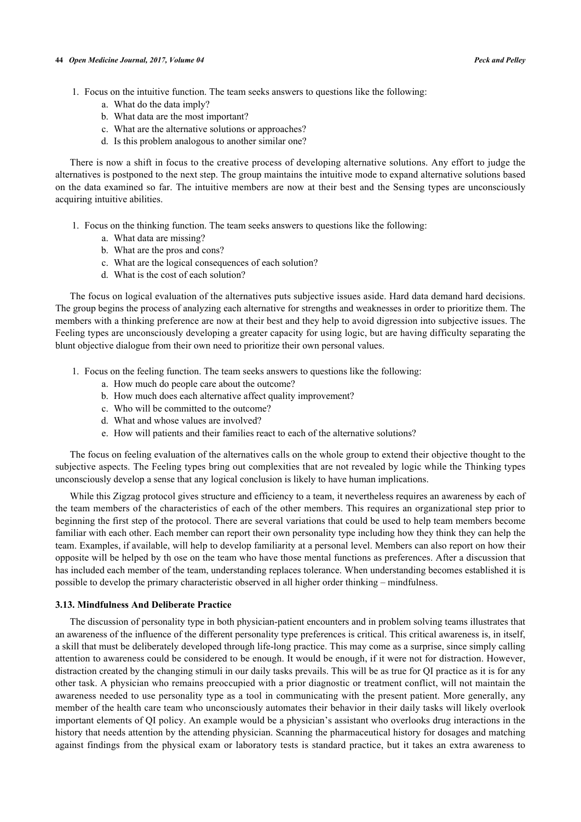- 1. Focus on the intuitive function. The team seeks answers to questions like the following:
	- a. What do the data imply?
	- b. What data are the most important?
	- c. What are the alternative solutions or approaches?
	- d. Is this problem analogous to another similar one?

There is now a shift in focus to the creative process of developing alternative solutions. Any effort to judge the alternatives is postponed to the next step. The group maintains the intuitive mode to expand alternative solutions based on the data examined so far. The intuitive members are now at their best and the Sensing types are unconsciously acquiring intuitive abilities.

- 1. Focus on the thinking function. The team seeks answers to questions like the following:
	- a. What data are missing?
	- b. What are the pros and cons?
	- c. What are the logical consequences of each solution?
	- d. What is the cost of each solution?

The focus on logical evaluation of the alternatives puts subjective issues aside. Hard data demand hard decisions. The group begins the process of analyzing each alternative for strengths and weaknesses in order to prioritize them. The members with a thinking preference are now at their best and they help to avoid digression into subjective issues. The Feeling types are unconsciously developing a greater capacity for using logic, but are having difficulty separating the blunt objective dialogue from their own need to prioritize their own personal values.

- 1. Focus on the feeling function. The team seeks answers to questions like the following:
	- a. How much do people care about the outcome?
	- b. How much does each alternative affect quality improvement?
	- c. Who will be committed to the outcome?
	- d. What and whose values are involved?
	- e. How will patients and their families react to each of the alternative solutions?

The focus on feeling evaluation of the alternatives calls on the whole group to extend their objective thought to the subjective aspects. The Feeling types bring out complexities that are not revealed by logic while the Thinking types unconsciously develop a sense that any logical conclusion is likely to have human implications.

While this Zigzag protocol gives structure and efficiency to a team, it nevertheless requires an awareness by each of the team members of the characteristics of each of the other members. This requires an organizational step prior to beginning the first step of the protocol. There are several variations that could be used to help team members become familiar with each other. Each member can report their own personality type including how they think they can help the team. Examples, if available, will help to develop familiarity at a personal level. Members can also report on how their opposite will be helped by th ose on the team who have those mental functions as preferences. After a discussion that has included each member of the team, understanding replaces tolerance. When understanding becomes established it is possible to develop the primary characteristic observed in all higher order thinking – mindfulness.

#### **3.13. Mindfulness And Deliberate Practice**

The discussion of personality type in both physician-patient encounters and in problem solving teams illustrates that an awareness of the influence of the different personality type preferences is critical. This critical awareness is, in itself, a skill that must be deliberately developed through life-long practice. This may come as a surprise, since simply calling attention to awareness could be considered to be enough. It would be enough, if it were not for distraction. However, distraction created by the changing stimuli in our daily tasks prevails. This will be as true for QI practice as it is for any other task. A physician who remains preoccupied with a prior diagnostic or treatment conflict, will not maintain the awareness needed to use personality type as a tool in communicating with the present patient. More generally, any member of the health care team who unconsciously automates their behavior in their daily tasks will likely overlook important elements of QI policy. An example would be a physician's assistant who overlooks drug interactions in the history that needs attention by the attending physician. Scanning the pharmaceutical history for dosages and matching against findings from the physical exam or laboratory tests is standard practice, but it takes an extra awareness to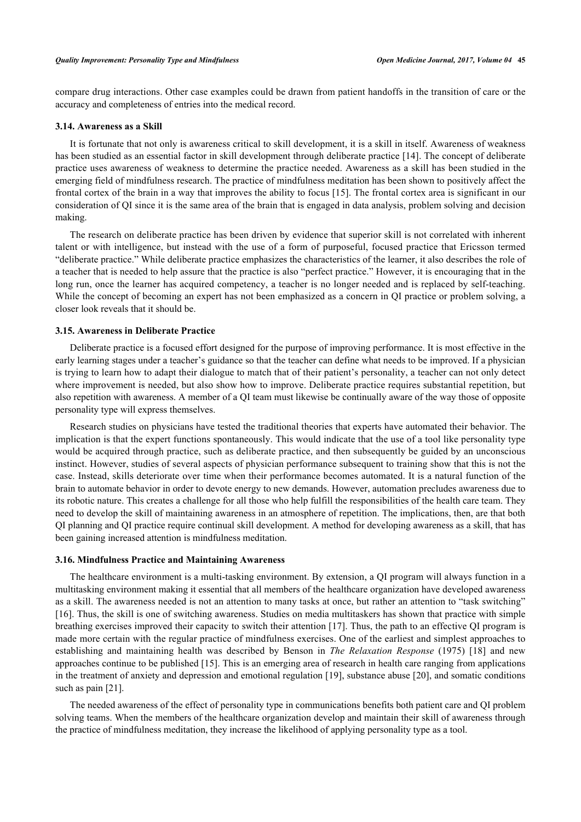compare drug interactions. Other case examples could be drawn from patient handoffs in the transition of care or the accuracy and completeness of entries into the medical record.

#### **3.14. Awareness as a Skill**

It is fortunate that not only is awareness critical to skill development, it is a skill in itself. Awareness of weakness has been studied as an essential factor in skill development through deliberate practice [[14\]](#page-12-10). The concept of deliberate practice uses awareness of weakness to determine the practice needed. Awareness as a skill has been studied in the emerging field of mindfulness research. The practice of mindfulness meditation has been shown to positively affect the frontal cortex of the brain in a way that improves the ability to focus [[15](#page-12-11)]. The frontal cortex area is significant in our consideration of QI since it is the same area of the brain that is engaged in data analysis, problem solving and decision making.

The research on deliberate practice has been driven by evidence that superior skill is not correlated with inherent talent or with intelligence, but instead with the use of a form of purposeful, focused practice that Ericsson termed "deliberate practice." While deliberate practice emphasizes the characteristics of the learner, it also describes the role of a teacher that is needed to help assure that the practice is also "perfect practice." However, it is encouraging that in the long run, once the learner has acquired competency, a teacher is no longer needed and is replaced by self-teaching. While the concept of becoming an expert has not been emphasized as a concern in QI practice or problem solving, a closer look reveals that it should be.

#### **3.15. Awareness in Deliberate Practice**

Deliberate practice is a focused effort designed for the purpose of improving performance. It is most effective in the early learning stages under a teacher's guidance so that the teacher can define what needs to be improved. If a physician is trying to learn how to adapt their dialogue to match that of their patient's personality, a teacher can not only detect where improvement is needed, but also show how to improve. Deliberate practice requires substantial repetition, but also repetition with awareness. A member of a QI team must likewise be continually aware of the way those of opposite personality type will express themselves.

Research studies on physicians have tested the traditional theories that experts have automated their behavior. The implication is that the expert functions spontaneously. This would indicate that the use of a tool like personality type would be acquired through practice, such as deliberate practice, and then subsequently be guided by an unconscious instinct. However, studies of several aspects of physician performance subsequent to training show that this is not the case. Instead, skills deteriorate over time when their performance becomes automated. It is a natural function of the brain to automate behavior in order to devote energy to new demands. However, automation precludes awareness due to its robotic nature. This creates a challenge for all those who help fulfill the responsibilities of the health care team. They need to develop the skill of maintaining awareness in an atmosphere of repetition. The implications, then, are that both QI planning and QI practice require continual skill development. A method for developing awareness as a skill, that has been gaining increased attention is mindfulness meditation.

## **3.16. Mindfulness Practice and Maintaining Awareness**

The healthcare environment is a multi-tasking environment. By extension, a QI program will always function in a multitasking environment making it essential that all members of the healthcare organization have developed awareness as a skill. The awareness needed is not an attention to many tasks at once, but rather an attention to "task switching" [\[16](#page-12-12)]. Thus, the skill is one of switching awareness. Studies on media multitaskers has shown that practice with simple breathing exercises improved their capacity to switch their attention [\[17](#page-12-13)]. Thus, the path to an effective QI program is made more certain with the regular practice of mindfulness exercises. One of the earliest and simplest approaches to establishing and maintaining health was described by Benson in *The Relaxation Response* (1975)[[18\]](#page-12-14) and new approaches continue to be published [[15\]](#page-12-11). This is an emerging area of research in health care ranging from applications in the treatment of anxiety and depression and emotional regulation [[19](#page-12-15)], substance abuse [[20\]](#page-12-16), and somatic conditions such as pain [\[21](#page-12-17)].

The needed awareness of the effect of personality type in communications benefits both patient care and QI problem solving teams. When the members of the healthcare organization develop and maintain their skill of awareness through the practice of mindfulness meditation, they increase the likelihood of applying personality type as a tool.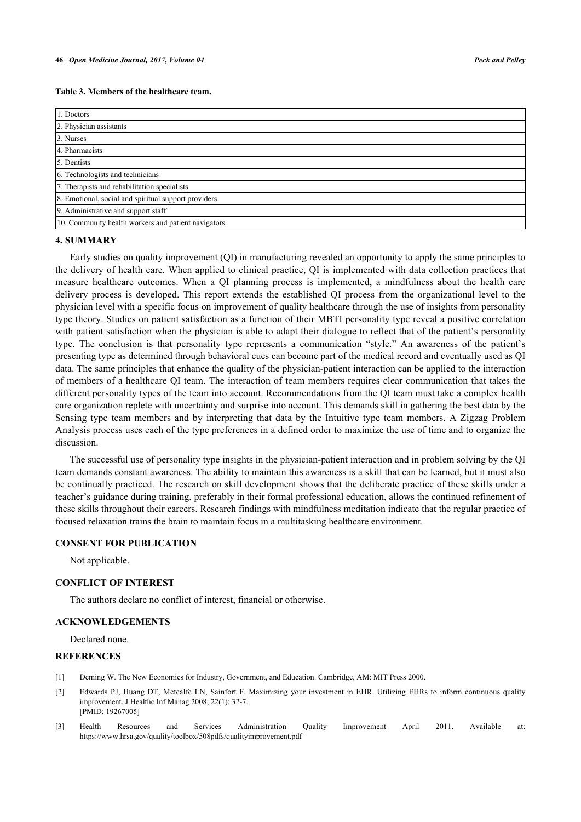| 1. Doctors                                           |  |  |  |
|------------------------------------------------------|--|--|--|
| 2. Physician assistants                              |  |  |  |
| 3. Nurses                                            |  |  |  |
| 4. Pharmacists                                       |  |  |  |
| 5. Dentists                                          |  |  |  |
| 6. Technologists and technicians                     |  |  |  |
| 7. Therapists and rehabilitation specialists         |  |  |  |
| 8. Emotional, social and spiritual support providers |  |  |  |
| 9. Administrative and support staff                  |  |  |  |
| 10. Community health workers and patient navigators  |  |  |  |

#### **4. SUMMARY**

Early studies on quality improvement (QI) in manufacturing revealed an opportunity to apply the same principles to the delivery of health care. When applied to clinical practice, QI is implemented with data collection practices that measure healthcare outcomes. When a QI planning process is implemented, a mindfulness about the health care delivery process is developed. This report extends the established QI process from the organizational level to the physician level with a specific focus on improvement of quality healthcare through the use of insights from personality type theory. Studies on patient satisfaction as a function of their MBTI personality type reveal a positive correlation with patient satisfaction when the physician is able to adapt their dialogue to reflect that of the patient's personality type. The conclusion is that personality type represents a communication "style." An awareness of the patient's presenting type as determined through behavioral cues can become part of the medical record and eventually used as QI data. The same principles that enhance the quality of the physician-patient interaction can be applied to the interaction of members of a healthcare QI team. The interaction of team members requires clear communication that takes the different personality types of the team into account. Recommendations from the QI team must take a complex health care organization replete with uncertainty and surprise into account. This demands skill in gathering the best data by the Sensing type team members and by interpreting that data by the Intuitive type team members. A Zigzag Problem Analysis process uses each of the type preferences in a defined order to maximize the use of time and to organize the discussion.

The successful use of personality type insights in the physician-patient interaction and in problem solving by the QI team demands constant awareness. The ability to maintain this awareness is a skill that can be learned, but it must also be continually practiced. The research on skill development shows that the deliberate practice of these skills under a teacher's guidance during training, preferably in their formal professional education, allows the continued refinement of these skills throughout their careers. Research findings with mindfulness meditation indicate that the regular practice of focused relaxation trains the brain to maintain focus in a multitasking healthcare environment.

## **CONSENT FOR PUBLICATION**

Not applicable.

## **CONFLICT OF INTEREST**

The authors declare no conflict of interest, financial or otherwise.

#### **ACKNOWLEDGEMENTS**

Declared none.

#### **REFERENCES**

- <span id="page-11-0"></span>[1] Deming W. The New Economics for Industry, Government, and Education. Cambridge, AM: MIT Press 2000.
- <span id="page-11-1"></span>[2] Edwards PJ, Huang DT, Metcalfe LN, Sainfort F. Maximizing your investment in EHR. Utilizing EHRs to inform continuous quality improvement. J Healthc Inf Manag 2008; 22(1): 32-7. [PMID: [19267005\]](http://www.ncbi.nlm.nih.gov/pubmed/19267005)
- <span id="page-11-2"></span>[3] Health Resources and Services Administration Quality Improvement April 2011. Available at: <https://www.hrsa.gov/quality/toolbox/508pdfs/qualityimprovement.pdf>